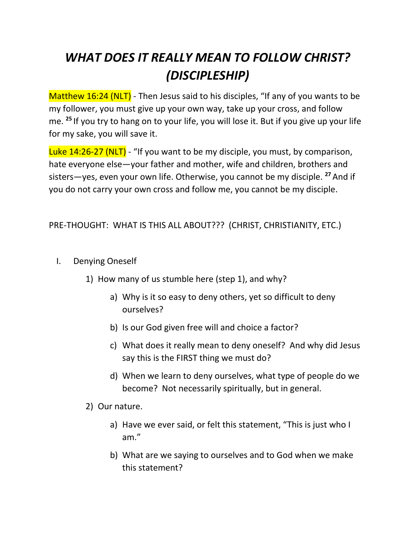## *WHAT DOES IT REALLY MEAN TO FOLLOW CHRIST? (DISCIPLESHIP)*

Matthew 16:24 (NLT) - Then Jesus said to his disciples, "If any of you wants to be my follower, you must give up your own way, take up your cross, and follow me. **<sup>25</sup>** If you try to hang on to your life, you will lose it. But if you give up your life for my sake, you will save it.

Luke 14:26-27 (NLT) - "If you want to be my disciple, you must, by comparison, hate everyone else—your father and mother, wife and children, brothers and sisters—yes, even your own life. Otherwise, you cannot be my disciple. **<sup>27</sup>** And if you do not carry your own cross and follow me, you cannot be my disciple.

## PRE-THOUGHT: WHAT IS THIS ALL ABOUT??? (CHRIST, CHRISTIANITY, ETC.)

- I. Denying Oneself
	- 1) How many of us stumble here (step 1), and why?
		- a) Why is it so easy to deny others, yet so difficult to deny ourselves?
		- b) Is our God given free will and choice a factor?
		- c) What does it really mean to deny oneself? And why did Jesus say this is the FIRST thing we must do?
		- d) When we learn to deny ourselves, what type of people do we become? Not necessarily spiritually, but in general.
	- 2) Our nature.
		- a) Have we ever said, or felt this statement, "This is just who I am."
		- b) What are we saying to ourselves and to God when we make this statement?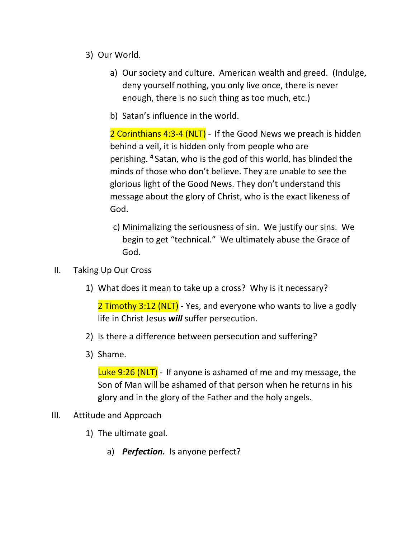- 3) Our World.
	- a) Our society and culture. American wealth and greed. (Indulge, deny yourself nothing, you only live once, there is never enough, there is no such thing as too much, etc.)
	- b) Satan's influence in the world.

2 Corinthians 4:3-4 (NLT) - If the Good News we preach is hidden behind a veil, it is hidden only from people who are perishing. **4** Satan, who is the god of this world, has blinded the minds of those who don't believe. They are unable to see the glorious light of the Good News. They don't understand this message about the glory of Christ, who is the exact likeness of God.

- c) Minimalizing the seriousness of sin. We justify our sins. We begin to get "technical." We ultimately abuse the Grace of God.
- II. Taking Up Our Cross
	- 1) What does it mean to take up a cross? Why is it necessary?

2 Timothy 3:12 (NLT) - Yes, and everyone who wants to live a godly life in Christ Jesus *will* suffer persecution.

- 2) Is there a difference between persecution and suffering?
- 3) Shame.

Luke 9:26 (NLT) - If anyone is ashamed of me and my message, the Son of Man will be ashamed of that person when he returns in his glory and in the glory of the Father and the holy angels.

- III. Attitude and Approach
	- 1) The ultimate goal.
		- a) *Perfection.* Is anyone perfect?